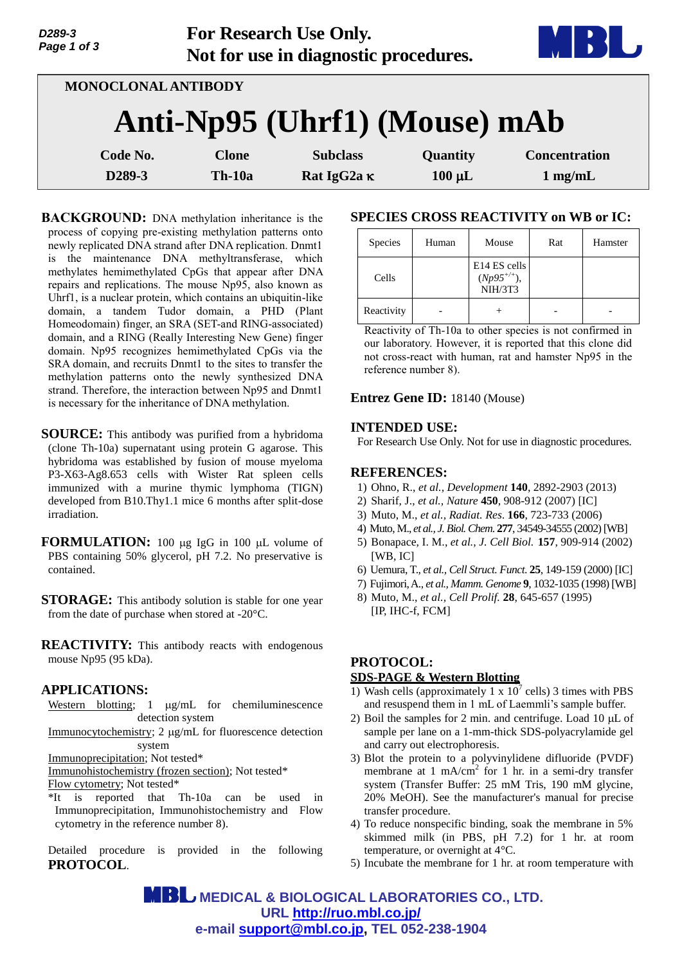| D289-3<br>Page 1 of 3 |               | <b>For Research Use Only.</b><br>Not for use in diagnostic procedures. |             |                      |  |  |  |  |  |
|-----------------------|---------------|------------------------------------------------------------------------|-------------|----------------------|--|--|--|--|--|
| MONOCLONAL ANTIBODY   |               |                                                                        |             |                      |  |  |  |  |  |
|                       |               | Anti-Np95 (Uhrf1) (Mouse) mAb                                          |             |                      |  |  |  |  |  |
| Code No.              | <b>Clone</b>  | <b>Subclass</b>                                                        | Quantity    | <b>Concentration</b> |  |  |  |  |  |
| D289-3                | <b>Th-10a</b> | Rat IgG2a K                                                            | $100 \mu L$ | $1$ mg/mL            |  |  |  |  |  |

**BACKGROUND:** DNA methylation inheritance is the process of copying pre-existing methylation patterns onto newly replicated DNA strand after DNA replication. Dnmt1 is the maintenance DNA methyltransferase, which methylates hemimethylated CpGs that appear after DNA repairs and replications. The mouse Np95, also known as Uhrf1, is a nuclear protein, which contains an ubiquitin-like domain, a tandem Tudor domain, a PHD (Plant Homeodomain) finger, an SRA (SET-and RING-associated) domain, and a RING (Really Interesting New Gene) finger domain. Np95 recognizes hemimethylated CpGs via the SRA domain, and recruits Dnmt1 to the sites to transfer the methylation patterns onto the newly synthesized DNA strand. Therefore, the interaction between Np95 and Dnmt1 is necessary for the inheritance of DNA methylation.

**SOURCE:** This antibody was purified from a hybridoma (clone Th-10a) supernatant using protein G agarose. This hybridoma was established by fusion of mouse myeloma P3-X63-Ag8.653 cells with Wister Rat spleen cells immunized with a murine thymic lymphoma (TIGN) developed from B10.Thy1.1 mice 6 months after split-dose irradiation.

**FORMULATION:** 100 µg IgG in 100 µL volume of PBS containing 50% glycerol, pH 7.2. No preservative is contained.

**STORAGE:** This antibody solution is stable for one year from the date of purchase when stored at -20°C.

**REACTIVITY:** This antibody reacts with endogenous mouse Np95 (95 kDa).

# **APPLICATIONS:**

Western blotting;  $1 \mu g/mL$  for chemiluminescence detection system

Immunocytochemistry; 2 µg/mL for fluorescence detection system

Immunoprecipitation; Not tested\*

Immunohistochemistry (frozen section); Not tested\* Flow cytometry; Not tested\*

\*It is reported that Th-10a can be used in Immunoprecipitation, Immunohistochemistry and Flow cytometry in the reference number 8).

Detailed procedure is provided in the following **PROTOCOL**.

### **SPECIES CROSS REACTIVITY on WB or IC:**

| Species    | Human | Mouse                                                  | Rat | Hamster |
|------------|-------|--------------------------------------------------------|-----|---------|
| Cells      |       | E <sub>14</sub> ES cells<br>$(Np95^{+/+}),$<br>NIH/3T3 |     |         |
| Reactivity |       |                                                        |     |         |

Reactivity of Th-10a to other species is not confirmed in our laboratory. However, it is reported that this clone did not cross-react with human, rat and hamster Np95 in the reference number 8).

#### **Entrez Gene ID:** 18140 (Mouse)

#### **INTENDED USE:**

For Research Use Only. Not for use in diagnostic procedures.

# **REFERENCES:**

- 1) Ohno, R., *et al., Development* **140**, 2892-2903 (2013)
- 2) Sharif, J., *et al., Nature* **450**, 908-912 (2007) [IC]
- 3) Muto, M., *et al., Radiat. Res*. **166**, 723-733 (2006)
- 4) Muto, M., *et al., J. Biol. Chem*. **277**, 34549-34555 (2002)[WB]
- 5) Bonapace, I. M., *et al., J. Cell Biol.* **157**, 909-914 (2002) [WB, IC]
- 6) Uemura, T., *et al., Cell Struct. Funct*. **25**, 149-159 (2000) [IC]
- 7) Fujimori, A., *et al., Mamm. Genome* **9**, 1032-1035 (1998) [WB]
- 8) Muto, M., *et al., Cell Prolif.* **28**, 645-657 (1995) [IP, IHC-f, FCM]

# **PROTOCOL:**

#### **SDS-PAGE & Western Blotting**

- 1) Wash cells (approximately 1 x  $10^7$  cells) 3 times with PBS and resuspend them in 1 mL of Laemmli's sample buffer.
- 2) Boil the samples for 2 min. and centrifuge. Load 10  $\mu$ L of sample per lane on a 1-mm-thick SDS-polyacrylamide gel and carry out electrophoresis.
- 3) Blot the protein to a polyvinylidene difluoride (PVDF) membrane at 1 mA/cm<sup>2</sup> for 1 hr. in a semi-dry transfer system (Transfer Buffer: 25 mM Tris, 190 mM glycine, 20% MeOH). See the manufacturer's manual for precise transfer procedure.
- 4) To reduce nonspecific binding, soak the membrane in 5% skimmed milk (in PBS, pH 7.2) for 1 hr. at room temperature, or overnight at 4°C.
- 5) Incubate the membrane for 1 hr. at room temperature with

 **MEDICAL & BIOLOGICAL LABORATORIES CO., LTD. URL http://ruo.mbl.co.jp/ e-mail support@mbl.co.jp, TEL 052-238-1904**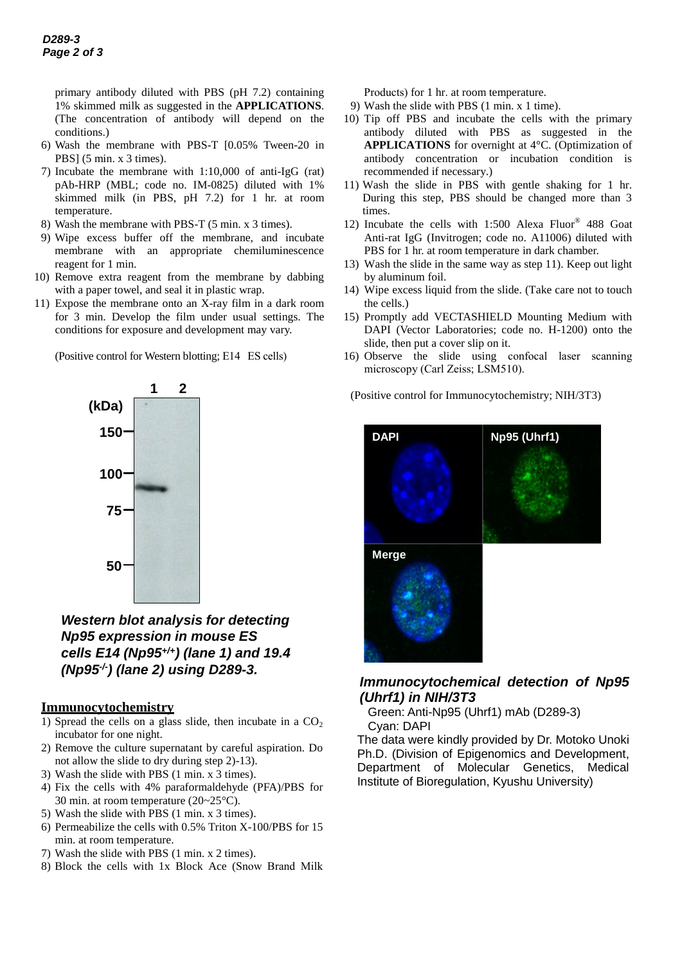primary antibody diluted with PBS (pH 7.2) containing 1% skimmed milk as suggested in the **APPLICATIONS**. (The concentration of antibody will depend on the conditions.)

- 6) Wash the membrane with PBS-T [0.05% Tween-20 in PBS] (5 min. x 3 times).
- 7) Incubate the membrane with 1:10,000 of anti-IgG (rat) pAb-HRP (MBL; code no. IM-0825) diluted with 1% skimmed milk (in PBS, pH 7.2) for 1 hr. at room temperature.
- 8) Wash the membrane with PBS-T (5 min. x 3 times).
- 9) Wipe excess buffer off the membrane, and incubate membrane with an appropriate chemiluminescence reagent for 1 min.
- 10) Remove extra reagent from the membrane by dabbing with a paper towel, and seal it in plastic wrap.
- 11) Expose the membrane onto an X-ray film in a dark room for 3 min. Develop the film under usual settings. The conditions for exposure and development may vary.

(Positive control for Western blotting; E14 ES cells)



*Western blot analysis for detecting Np95 expression in mouse ES cells E14 (Np95+/+) (lane 1) and 19.4 (Np95-/- ) (lane 2) using D289-3.*

# **Immunocytochemistry**

- 1) Spread the cells on a glass slide, then incubate in a  $CO<sub>2</sub>$ incubator for one night.
- 2) Remove the culture supernatant by careful aspiration. Do not allow the slide to dry during step 2)-13).
- 3) Wash the slide with PBS (1 min. x 3 times).
- 4) Fix the cells with 4% paraformaldehyde (PFA)/PBS for 30 min. at room temperature (20~25°C).
- 5) Wash the slide with PBS (1 min. x 3 times).
- 6) Permeabilize the cells with 0.5% Triton X-100/PBS for 15 min. at room temperature.
- 7) Wash the slide with PBS (1 min. x 2 times).
- 8) Block the cells with 1x Block Ace (Snow Brand Milk

Products) for 1 hr. at room temperature.

- 9) Wash the slide with PBS (1 min. x 1 time).
- 10) Tip off PBS and incubate the cells with the primary antibody diluted with PBS as suggested in the **APPLICATIONS** for overnight at 4°C. (Optimization of antibody concentration or incubation condition is recommended if necessary.)
- 11) Wash the slide in PBS with gentle shaking for 1 hr. During this step, PBS should be changed more than 3 times.
- 12) Incubate the cells with 1:500 Alexa Fluor® 488 Goat Anti-rat IgG (Invitrogen; code no. A11006) diluted with PBS for 1 hr. at room temperature in dark chamber.
- 13) Wash the slide in the same way as step 11). Keep out light by aluminum foil.
- 14) Wipe excess liquid from the slide. (Take care not to touch the cells.)
- 15) Promptly add VECTASHIELD Mounting Medium with DAPI (Vector Laboratories; code no. H-1200) onto the slide, then put a cover slip on it.
- 16) Observe the slide using confocal [laser scanning](http://en.wikipedia.org/wiki/Confocal_laser_scanning_microscopy)  [microscopy](http://en.wikipedia.org/wiki/Confocal_laser_scanning_microscopy) (Carl Zeiss; LSM510).

(Positive control for Immunocytochemistry; NIH/3T3)



# *Immunocytochemical detection of Np95 (Uhrf1) in NIH/3T3*

Green: Anti-Np95 (Uhrf1) mAb (D289-3) Cyan: DAPI

The data were kindly provided by Dr. Motoko Unoki Ph.D. (Division of Epigenomics and Development, Department of Molecular Genetics, Medical Institute of Bioregulation, Kyushu University)